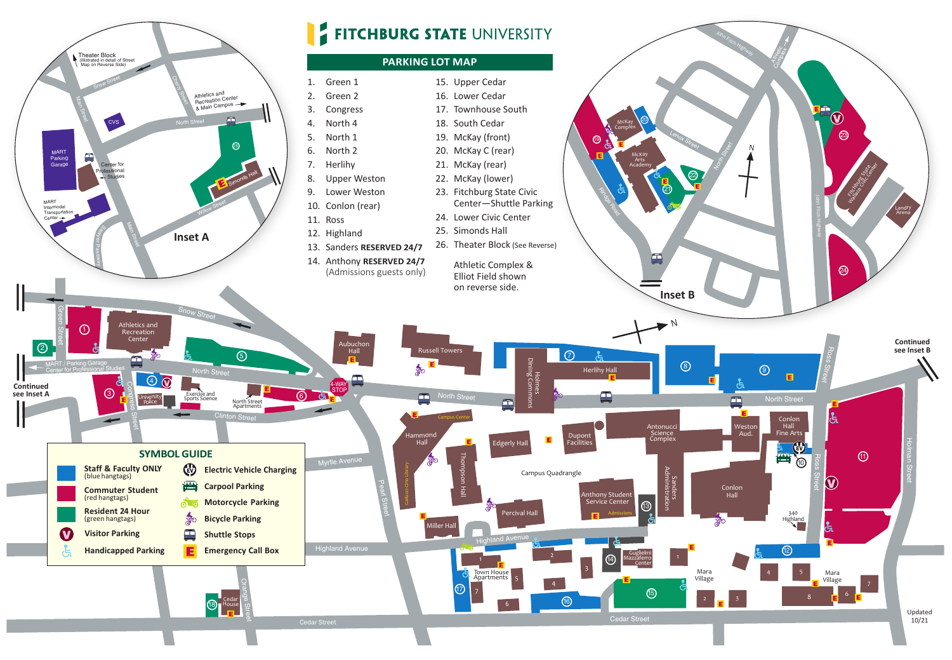